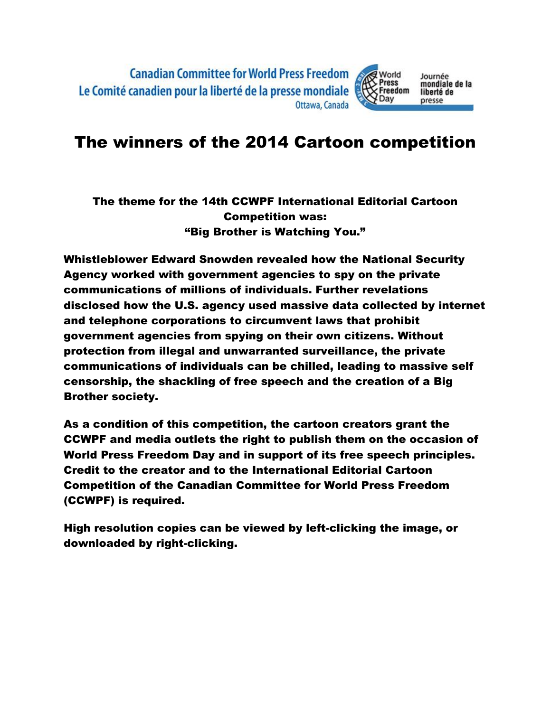## The winners of the 2014 Cartoon competition

#### The theme for the 14th CCWPF International Editorial Cartoon Competition was: "Big Brother is Watching You."

Whistleblower Edward Snowden revealed how the National Security Agency worked with government agencies to spy on the private communications of millions of individuals. Further revelations disclosed how the U.S. agency used massive data collected by internet and telephone corporations to circumvent laws that prohibit government agencies from spying on their own citizens. Without protection from illegal and unwarranted surveillance, the private communications of individuals can be chilled, leading to massive self censorship, the shackling of free speech and the creation of a Big Brother society.

As a condition of this competition, the cartoon creators grant the CCWPF and media outlets the right to publish them on the occasion of World Press Freedom Day and in support of its free speech principles. Credit to the creator and to the International Editorial Cartoon Competition of the Canadian Committee for World Press Freedom (CCWPF) is required.

High resolution copies can be viewed by left-clicking the image, or downloaded by right-clicking.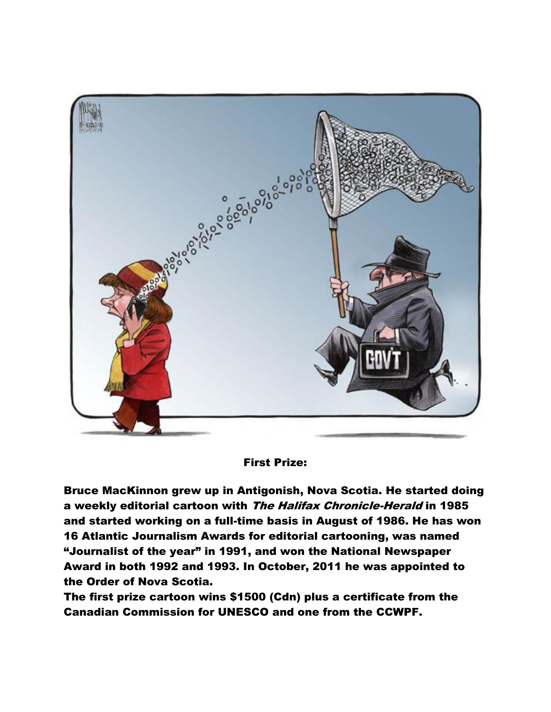

#### First Prize:

Bruce MacKinnon grew up in Antigonish, Nova Scotia. He started doing a weekly editorial cartoon with The Halifax Chronicle-Herald in 1985 and started working on a full-time basis in August of 1986. He has won 16 Atlantic Journalism Awards for editorial cartooning, was named "Journalist of the year" in 1991, and won the National Newspaper Award in both 1992 and 1993. In October, 2011 he was appointed to the Order of Nova Scotia.

The first prize cartoon wins \$1500 (Cdn) plus a certificate from the Canadian Commission for UNESCO and one from the CCWPF.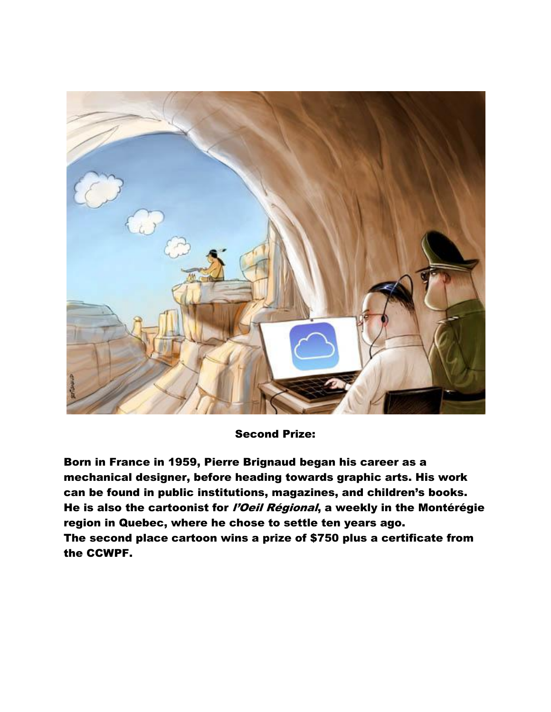

Second Prize:

Born in France in 1959, Pierre Brignaud began his career as a mechanical designer, before heading towards graphic arts. His work can be found in public institutions, magazines, and children's books. He is also the cartoonist for *l'Oeil Régional*, a weekly in the Montérégie region in Quebec, where he chose to settle ten years ago. The second place cartoon wins a prize of \$750 plus a certificate from the CCWPF.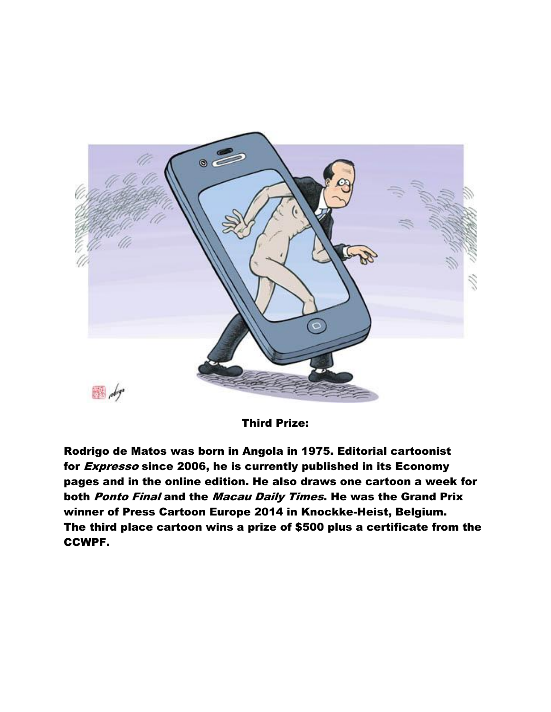

Third Prize:

Rodrigo de Matos was born in Angola in 1975. Editorial cartoonist for *Expresso* since 2006, he is currently published in its Economy pages and in the online edition. He also draws one cartoon a week for both Ponto Final and the Macau Daily Times. He was the Grand Prix winner of Press Cartoon Europe 2014 in Knockke-Heist, Belgium. The third place cartoon wins a prize of \$500 plus a certificate from the CCWPF.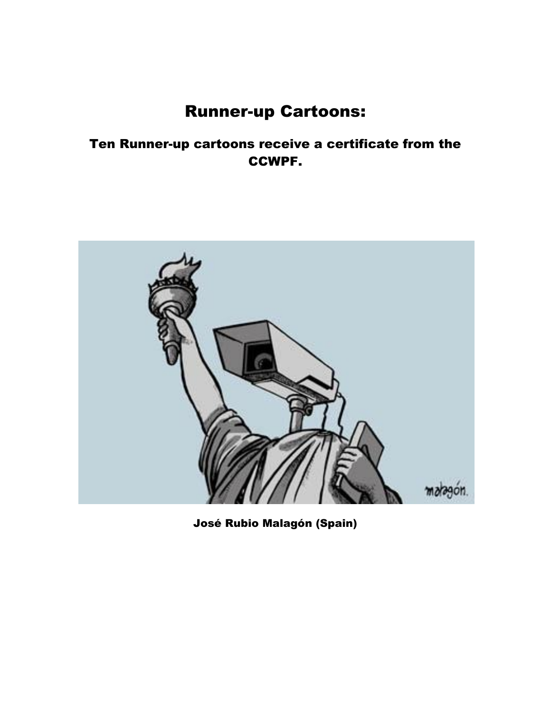# Runner-up Cartoons:

### Ten Runner-up cartoons receive a certificate from the CCWPF.



José Rubio Malagón (Spain)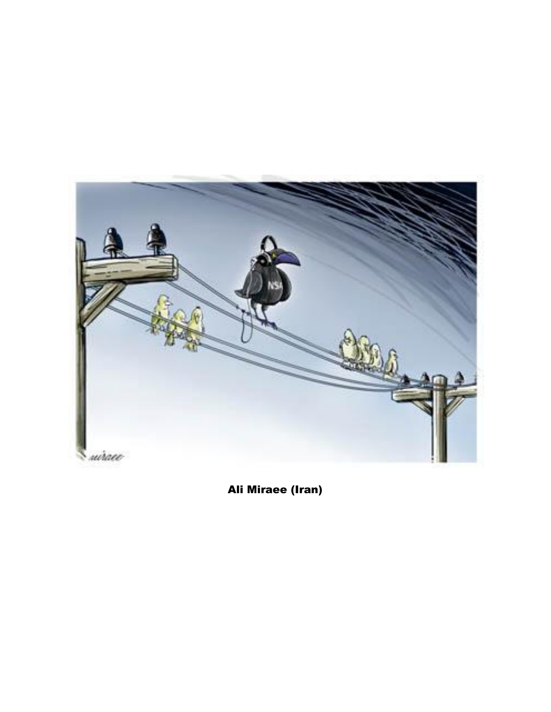

Ali Miraee (Iran)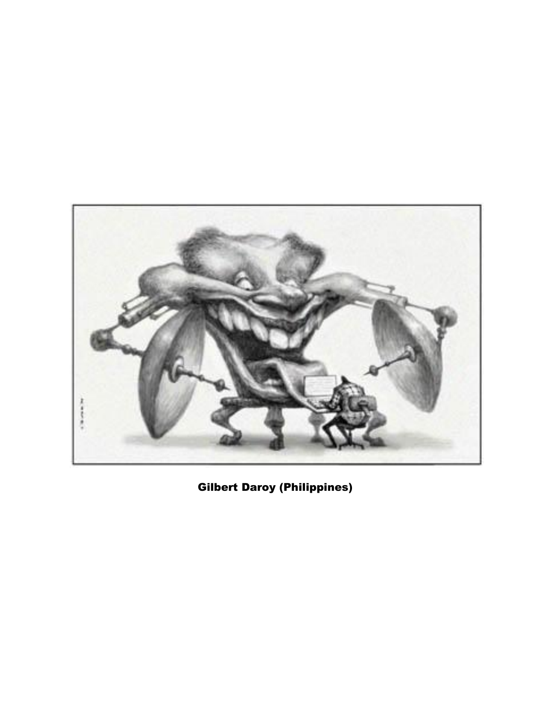![](_page_6_Picture_0.jpeg)

Gilbert Daroy (Philippines)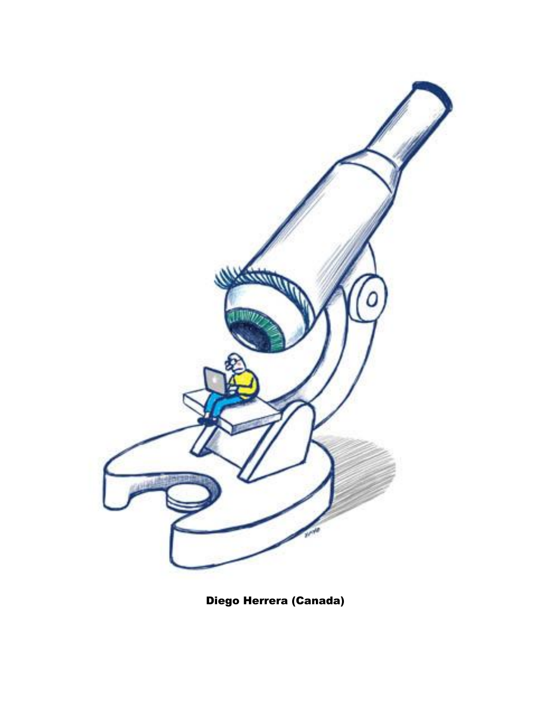![](_page_7_Picture_0.jpeg)

Diego Herrera (Canada)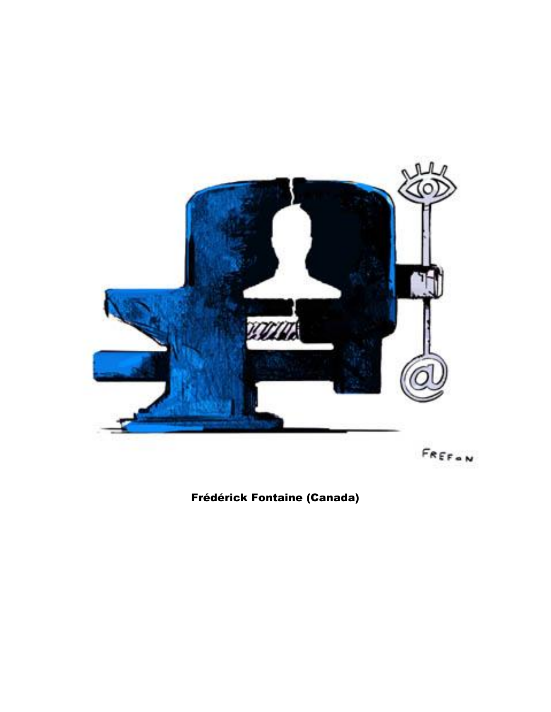![](_page_8_Picture_0.jpeg)

## Frédérick Fontaine (Canada)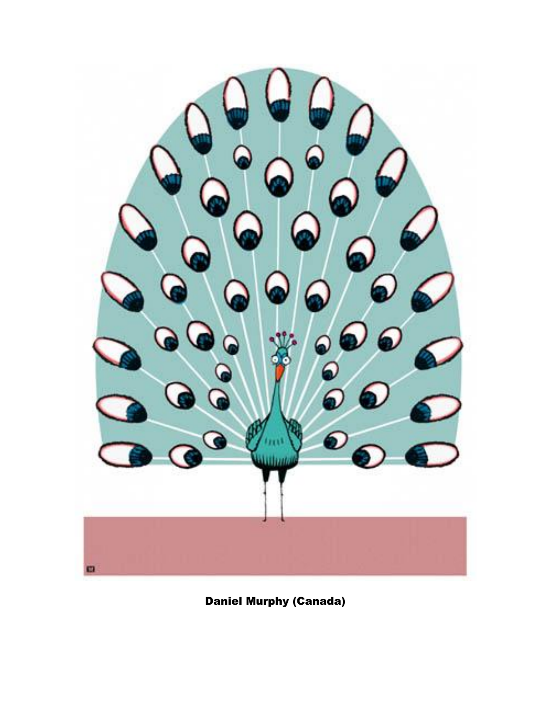![](_page_9_Picture_0.jpeg)

Daniel Murphy (Canada)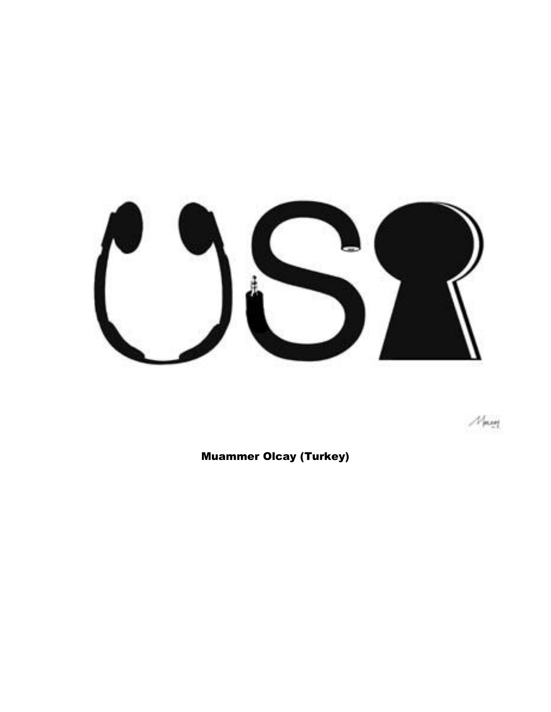![](_page_10_Picture_0.jpeg)

 $M_{\rm BH}$ 

Muammer Olcay (Turkey)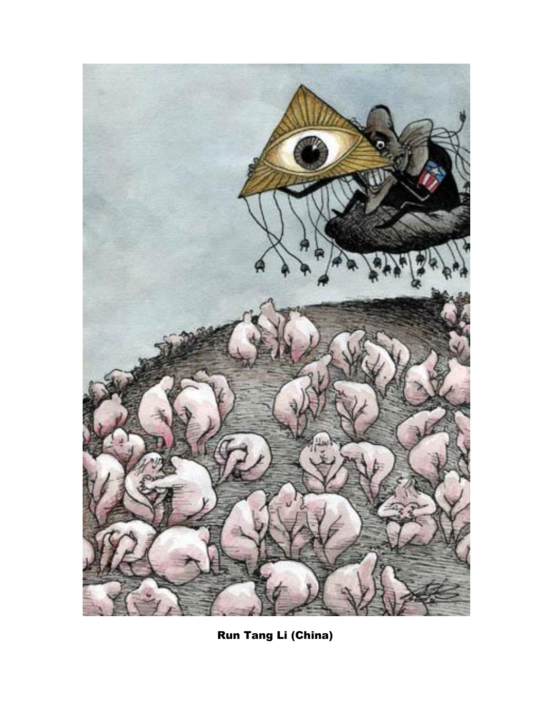![](_page_11_Picture_0.jpeg)

Run Tang Li (China)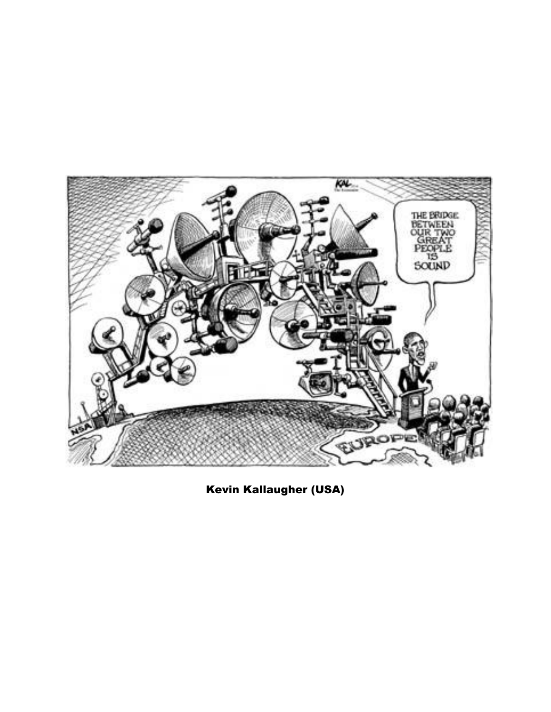![](_page_12_Picture_0.jpeg)

Kevin Kallaugher (USA)